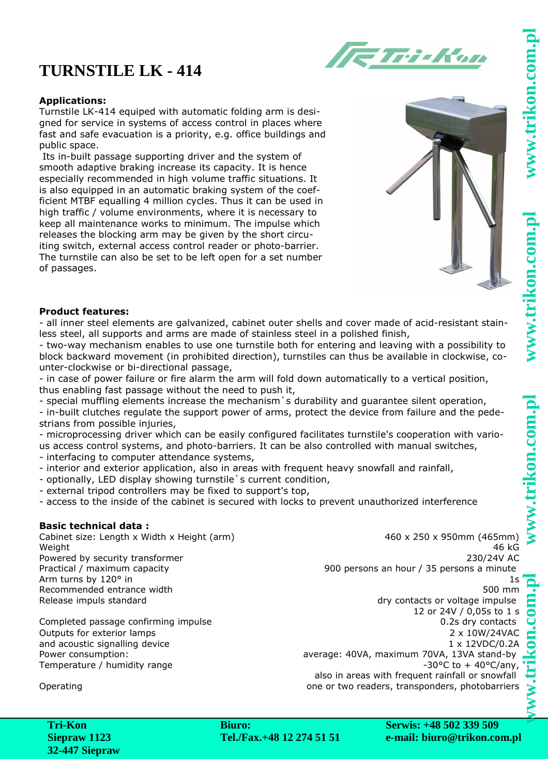# **www.trikon.com.pl www.trikon.com.pl www.trikon.com.pl www.trikon.com.pl** .trikon.com.

## www.trikon.com

## **TURNSTILE LK - 414**

### **Applications:**

Turnstile LK-414 equiped with automatic folding arm is designed for service in systems of access control in places where fast and safe evacuation is a priority, e.g. office buildings and public space.

 Its in-built passage supporting driver and the system of smooth adaptive braking increase its capacity. It is hence especially recommended in high volume traffic situations. It is also equipped in an automatic braking system of the coefficient MTBF equalling 4 million cycles. Thus it can be used in high traffic / volume environments, where it is necessary to keep all maintenance works to minimum. The impulse which releases the blocking arm may be given by the short circuiting switch, external access control reader or photo-barrier. The turnstile can also be set to be left open for a set number of passages.



ETri-Kon

### **Product features:**

- all inner steel elements are galvanized, cabinet outer shells and cover made of acid-resistant stainless steel, all supports and arms are made of stainless steel in a polished finish,

- two-way mechanism enables to use one turnstile both for entering and leaving with a possibility to block backward movement (in prohibited direction), turnstiles can thus be available in clockwise, counter-clockwise or bi-directional passage,

- in case of power failure or fire alarm the arm will fold down automatically to a vertical position, thus enabling fast passage without the need to push it,

- special muffling elements increase the mechanism`s durability and guarantee silent operation,

- in-built clutches regulate the support power of arms, protect the device from failure and the pedestrians from possible injuries,

- microprocessing driver which can be easily configured facilitates turnstile's cooperation with various access control systems, and photo-barriers. It can be also controlled with manual switches,

- interfacing to computer attendance systems,

- interior and exterior application, also in areas with frequent heavy snowfall and rainfall,
- optionally, LED display showing turnstile`s current condition,
- external tripod controllers may be fixed to support's top,

- access to the inside of the cabinet is secured with locks to prevent unauthorized interference

### **Basic technical data :**

Cabinet size: Length x Width x Height (arm) 460 x 250 x 950mm (465mm) Weight 46 kG Powered by security transformer 230/24V AC Arm turns by 120° in 1s Recommended entrance width 500 mm Release impuls standard and the contacts or voltage impulse

Completed passage confirming impulse 0.2s dry contacts 0.2s dry contacts Outputs for exterior lamps and acoustic signalling device Power consumption: <br>
average: 40VA, maximum 70VA, 13VA stand-by<br>
130°C to + 40°C/any, 130°C to + 40°C/any, 130°C to + 40°C/any, Temperature / humidity range

Practical / maximum capacity extends the state of the 900 persons and hour / 35 persons a minute

12 or 24V / 0,05s to 1 s 2 x 10W/24VAC 1 x 12VDC/0.2A

also in areas with frequent rainfall or snowfall Operating one or two readers, transponders, photobarriers

**Biuro: Tel./Fax.+48 12 274 51 51** **Serwis: +48 502 339 509 e-mail: biuro@trikon.com.pl**